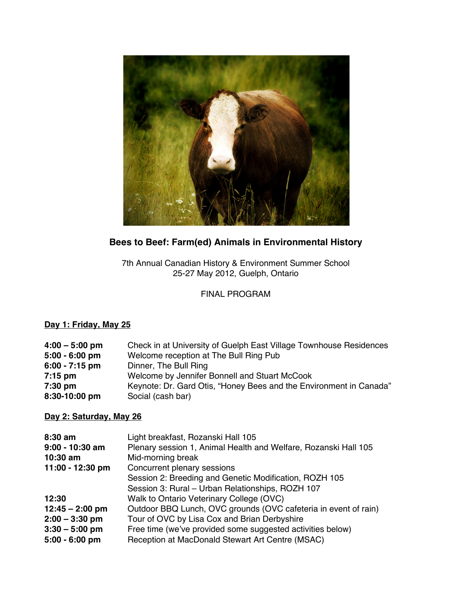

# **Bees to Beef: Farm(ed) Animals in Environmental History**

7th Annual Canadian History & Environment Summer School 25-27 May 2012, Guelph, Ontario

# FINAL PROGRAM

# **Day 1: Friday, May 25**

| $4:00 - 5:00$ pm | Check in at University of Guelph East Village Townhouse Residences |
|------------------|--------------------------------------------------------------------|
| $5:00 - 6:00$ pm | Welcome reception at The Bull Ring Pub                             |
| $6:00 - 7:15$ pm | Dinner, The Bull Ring                                              |
| $7:15$ pm        | Welcome by Jennifer Bonnell and Stuart McCook                      |
| 7:30 pm          | Keynote: Dr. Gard Otis, "Honey Bees and the Environment in Canada" |
| 8:30-10:00 pm    | Social (cash bar)                                                  |

# **Day 2: Saturday, May 26**

| $8:30$ am<br>$9:00 - 10:30$ am<br>$10:30$ am | Light breakfast, Rozanski Hall 105<br>Plenary session 1, Animal Health and Welfare, Rozanski Hall 105<br>Mid-morning break |
|----------------------------------------------|----------------------------------------------------------------------------------------------------------------------------|
| 11:00 - 12:30 pm                             | Concurrent plenary sessions                                                                                                |
|                                              | Session 2: Breeding and Genetic Modification, ROZH 105                                                                     |
|                                              | Session 3: Rural - Urban Relationships, ROZH 107                                                                           |
| 12:30                                        | Walk to Ontario Veterinary College (OVC)                                                                                   |
| $12:45 - 2:00$ pm                            | Outdoor BBQ Lunch, OVC grounds (OVC cafeteria in event of rain)                                                            |
| $2:00 - 3:30$ pm                             | Tour of OVC by Lisa Cox and Brian Derbyshire                                                                               |
| $3:30 - 5:00$ pm                             | Free time (we've provided some suggested activities below)                                                                 |
| $5:00 - 6:00$ pm                             | Reception at MacDonald Stewart Art Centre (MSAC)                                                                           |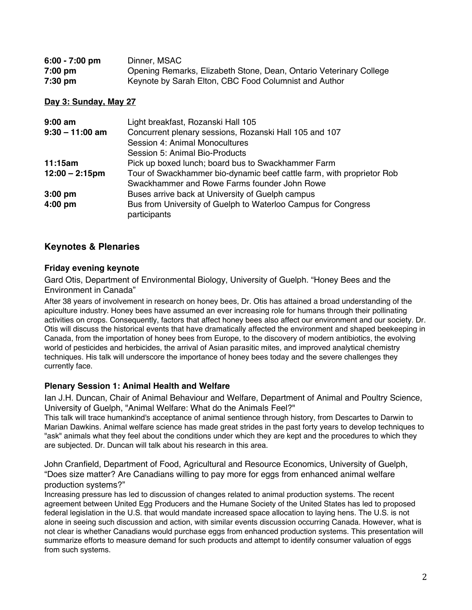| $6:00 - 7:00$ pm | Dinner, MSAC                                                       |
|------------------|--------------------------------------------------------------------|
| $7:00$ pm        | Opening Remarks, Elizabeth Stone, Dean, Ontario Veterinary College |
| $7:30$ pm        | Keynote by Sarah Elton, CBC Food Columnist and Author              |

### **Day 3: Sunday, May 27**

| $9:00$ am         | Light breakfast, Rozanski Hall 105                                            |
|-------------------|-------------------------------------------------------------------------------|
| $9:30 - 11:00$ am | Concurrent plenary sessions, Rozanski Hall 105 and 107                        |
|                   | Session 4: Animal Monocultures                                                |
|                   | Session 5: Animal Bio-Products                                                |
| 11:15am           | Pick up boxed lunch; board bus to Swackhammer Farm                            |
| $12:00 - 2:15$ pm | Tour of Swackhammer bio-dynamic beef cattle farm, with proprietor Rob         |
|                   | Swackhammer and Rowe Farms founder John Rowe                                  |
| $3:00$ pm         | Buses arrive back at University of Guelph campus                              |
| $4:00$ pm         | Bus from University of Guelph to Waterloo Campus for Congress<br>participants |

### **Keynotes & Plenaries**

#### **Friday evening keynote**

Gard Otis, Department of Environmental Biology, University of Guelph. "Honey Bees and the Environment in Canada"

After 38 years of involvement in research on honey bees, Dr. Otis has attained a broad understanding of the apiculture industry. Honey bees have assumed an ever increasing role for humans through their pollinating activities on crops. Consequently, factors that affect honey bees also affect our environment and our society. Dr. Otis will discuss the historical events that have dramatically affected the environment and shaped beekeeping in Canada, from the importation of honey bees from Europe, to the discovery of modern antibiotics, the evolving world of pesticides and herbicides, the arrival of Asian parasitic mites, and improved analytical chemistry techniques. His talk will underscore the importance of honey bees today and the severe challenges they currently face.

#### **Plenary Session 1: Animal Health and Welfare**

Ian J.H. Duncan, Chair of Animal Behaviour and Welfare, Department of Animal and Poultry Science, University of Guelph, "Animal Welfare: What do the Animals Feel?"

This talk will trace humankind's acceptance of animal sentience through history, from Descartes to Darwin to Marian Dawkins. Animal welfare science has made great strides in the past forty years to develop techniques to "ask" animals what they feel about the conditions under which they are kept and the procedures to which they are subjected. Dr. Duncan will talk about his research in this area.

John Cranfield, Department of Food, Agricultural and Resource Economics, University of Guelph, "Does size matter? Are Canadians willing to pay more for eggs from enhanced animal welfare production systems?"

Increasing pressure has led to discussion of changes related to animal production systems. The recent agreement between United Egg Producers and the Humane Society of the United States has led to proposed federal legislation in the U.S. that would mandate increased space allocation to laying hens. The U.S. is not alone in seeing such discussion and action, with similar events discussion occurring Canada. However, what is not clear is whether Canadians would purchase eggs from enhanced production systems. This presentation will summarize efforts to measure demand for such products and attempt to identify consumer valuation of eggs from such systems.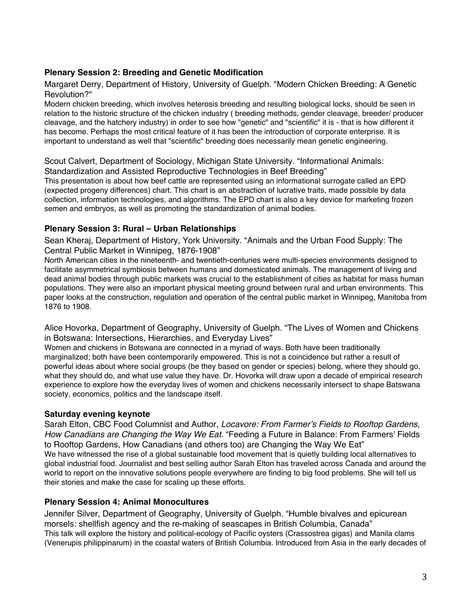# **Plenary Session 2: Breeding and Genetic Modification**

Margaret Derry, Department of History, University of Guelph. "Modern Chicken Breeding: A Genetic Revolution?"

Modern chicken breeding, which involves heterosis breeding and resulting biological locks, should be seen in relation to the historic structure of the chicken industry ( breeding methods, gender cleavage, breeder/ producer cleavage, and the hatchery industry) in order to see how "genetic" and "scientific" it is - that is how different it has become. Perhaps the most critical feature of it has been the introduction of corporate enterprise. It is important to understand as well that "scientific" breeding does necessarily mean genetic engineering.

Scout Calvert, Department of Sociology, Michigan State University. "Informational Animals: Standardization and Assisted Reproductive Technologies in Beef Breeding"

This presentation is about how beef cattle are represented using an informational surrogate called an EPD (expected progeny differences) chart. This chart is an abstraction of lucrative traits, made possible by data collection, information technologies, and algorithms. The EPD chart is also a key device for marketing frozen semen and embryos, as well as promoting the standardization of animal bodies.

#### **Plenary Session 3: Rural – Urban Relationships**

Sean Kheraj, Department of History, York University. "Animals and the Urban Food Supply: The Central Public Market in Winnipeg, 1876-1908"

North American cities in the nineteenth- and twentieth-centuries were multi-species environments designed to facilitate asymmetrical symbiosis between humans and domesticated animals. The management of living and dead animal bodies through public markets was crucial to the establishment of cities as habitat for mass human populations. They were also an important physical meeting ground between rural and urban environments. This paper looks at the construction, regulation and operation of the central public market in Winnipeg, Manitoba from 1876 to 1908.

Alice Hovorka, Department of Geography, University of Guelph. "The Lives of Women and Chickens in Botswana: Intersections, Hierarchies, and Everyday Lives"

Women and chickens in Botswana are connected in a myriad of ways. Both have been traditionally marginalized; both have been contemporarily empowered. This is not a coincidence but rather a result of powerful ideas about where social groups (be they based on gender or species) belong, where they should go, what they should do, and what use value they have. Dr. Hovorka will draw upon a decade of empirical research experience to explore how the everyday lives of women and chickens necessarily intersect to shape Batswana society, economics, politics and the landscape itself.

### **Saturday evening keynote**

Sarah Elton, CBC Food Columnist and Author, *Locavore: From Farmer's Fields to Rooftop Gardens, How Canadians are Changing the Way We Eat.* "Feeding a Future in Balance: From Farmers' Fields to Rooftop Gardens, How Canadians (and others too) are Changing the Way We Eat" We have witnessed the rise of a global sustainable food movement that is quietly building local alternatives to global industrial food. Journalist and best selling author Sarah Elton has traveled across Canada and around the world to report on the innovative solutions people everywhere are finding to big food problems. She will tell us their stories and make the case for scaling up these efforts.

### **Plenary Session 4: Animal Monocultures**

Jennifer Silver, Department of Geography, University of Guelph. "Humble bivalves and epicurean morsels: shellfish agency and the re-making of seascapes in British Columbia, Canada" This talk will explore the history and political-ecology of Pacific oysters (Crassostrea gigas) and Manila clams (Venerupis philippinarum) in the coastal waters of British Columbia. Introduced from Asia in the early decades of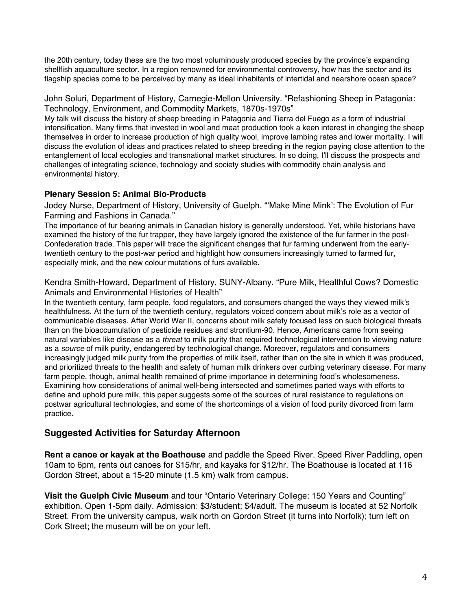the 20th century, today these are the two most voluminously produced species by the province's expanding shellfish aquaculture sector. In a region renowned for environmental controversy, how has the sector and its flagship species come to be perceived by many as ideal inhabitants of intertidal and nearshore ocean space?

John Soluri, Department of History, Carnegie-Mellon University. "Refashioning Sheep in Patagonia: Technology, Environment, and Commodity Markets, 1870s-1970s"

My talk will discuss the history of sheep breeding in Patagonia and Tierra del Fuego as a form of industrial intensification. Many firms that invested in wool and meat production took a keen interest in changing the sheep themselves in order to increase production of high quality wool, improve lambing rates and lower mortality. I will discuss the evolution of ideas and practices related to sheep breeding in the region paying close attention to the entanglement of local ecologies and transnational market structures. In so doing, I'll discuss the prospects and challenges of integrating science, technology and society studies with commodity chain analysis and environmental history.

## **Plenary Session 5: Animal Bio-Products**

Jodey Nurse, Department of History, University of Guelph. "'Make Mine Mink': The Evolution of Fur Farming and Fashions in Canada."

The importance of fur bearing animals in Canadian history is generally understood. Yet, while historians have examined the history of the fur trapper, they have largely ignored the existence of the fur farmer in the post-Confederation trade. This paper will trace the significant changes that fur farming underwent from the earlytwentieth century to the post-war period and highlight how consumers increasingly turned to farmed fur, especially mink, and the new colour mutations of furs available.

Kendra Smith-Howard, Department of History, SUNY-Albany. "Pure Milk, Healthful Cows? Domestic Animals and Environmental Histories of Health"

In the twentieth century, farm people, food regulators, and consumers changed the ways they viewed milk's healthfulness. At the turn of the twentieth century, regulators voiced concern about milk's role as a vector of communicable diseases. After World War II, concerns about milk safety focused less on such biological threats than on the bioaccumulation of pesticide residues and strontium-90. Hence, Americans came from seeing natural variables like disease as a *threat* to milk purity that required technological intervention to viewing nature as a *source* of milk purity, endangered by technological change. Moreover, regulators and consumers increasingly judged milk purity from the properties of milk itself, rather than on the site in which it was produced, and prioritized threats to the health and safety of human milk drinkers over curbing veterinary disease. For many farm people, though, animal health remained of prime importance in determining food's wholesomeness. Examining how considerations of animal well-being intersected and sometimes parted ways with efforts to define and uphold pure milk, this paper suggests some of the sources of rural resistance to regulations on postwar agricultural technologies, and some of the shortcomings of a vision of food purity divorced from farm practice.

# **Suggested Activities for Saturday Afternoon**

**Rent a canoe or kayak at the Boathouse** and paddle the Speed River. Speed River Paddling, open 10am to 6pm, rents out canoes for \$15/hr, and kayaks for \$12/hr. The Boathouse is located at 116 Gordon Street, about a 15-20 minute (1.5 km) walk from campus.

**Visit the Guelph Civic Museum** and tour "Ontario Veterinary College: 150 Years and Counting" exhibition. Open 1-5pm daily. Admission: \$3/student; \$4/adult. The museum is located at 52 Norfolk Street. From the university campus, walk north on Gordon Street (it turns into Norfolk); turn left on Cork Street; the museum will be on your left.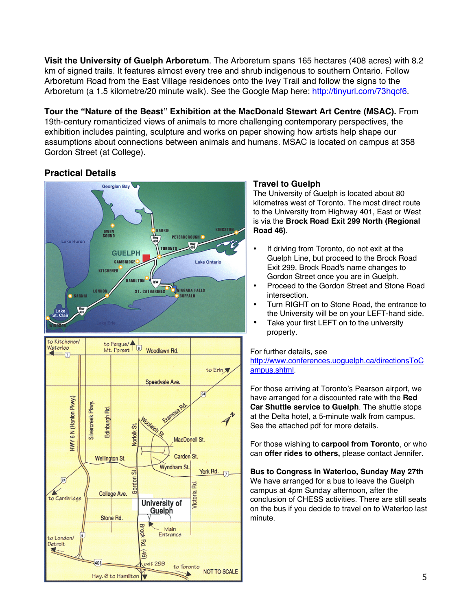**Visit the University of Guelph Arboretum**. The Arboretum spans 165 hectares (408 acres) with 8.2 km of signed trails. It features almost every tree and shrub indigenous to southern Ontario. Follow Arboretum Road from the East Village residences onto the Ivey Trail and follow the signs to the Arboretum (a 1.5 kilometre/20 minute walk). See the Google Map here: http://tinyurl.com/73hqcf6.

**Tour the "Nature of the Beast" Exhibition at the MacDonald Stewart Art Centre (MSAC).** From 19th-century romanticized views of animals to more challenging contemporary perspectives, the exhibition includes painting, sculpture and works on paper showing how artists help shape our assumptions about connections between animals and humans. MSAC is located on campus at 358 Gordon Street (at College).

# **Practical Details**





# **Travel to Guelph**

The University of Guelph is located about 80 kilometres west of Toronto. The most direct route to the University from Highway 401, East or West is via the **Brock Road Exit 299 North (Regional Road 46)**.

- If driving from Toronto, do not exit at the Guelph Line, but proceed to the Brock Road Exit 299. Brock Road's name changes to Gordon Street once you are in Guelph.
- Proceed to the Gordon Street and Stone Road intersection.
- Turn RIGHT on to Stone Road, the entrance to the University will be on your LEFT-hand side.
- Take your first LEFT on to the university property.

#### For further details, see

http://www.conferences.uoguelph.ca/directionsToC ampus.shtml.

For those arriving at Toronto's Pearson airport, we have arranged for a discounted rate with the **Red Car Shuttle service to Guelph**. The shuttle stops at the Delta hotel, a 5-minute walk from campus. See the attached pdf for more details.

For those wishing to **carpool from Toronto**, or who can **offer rides to others,** please contact Jennifer.

### **Bus to Congress in Waterloo, Sunday May 27th**

We have arranged for a bus to leave the Guelph campus at 4pm Sunday afternoon, after the conclusion of CHESS activities. There are still seats on the bus if you decide to travel on to Waterloo last minute.